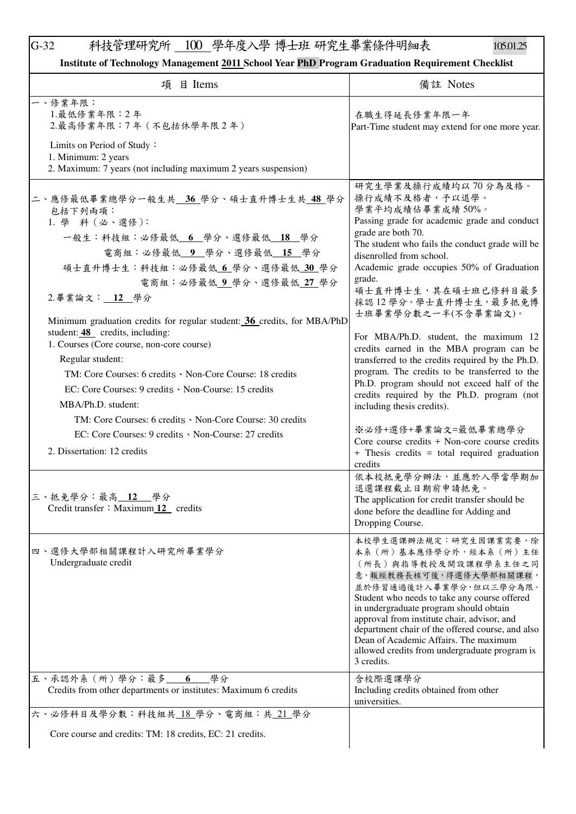## G-32 科技管理研究所 100 學年度入學 博士班 研究生畢業條件明細表 105.01.25

| Institute of Technology Management 2011 School Year PhD Program Graduation Requirement Checklist |  |
|--------------------------------------------------------------------------------------------------|--|
|--------------------------------------------------------------------------------------------------|--|

| 目 Items                                                                                                                                                                                                                                                                                                                                                                                                                                                                                                         | 備註 Notes                                                                                                                                                                                                                                                                                                                                                                                                                                                                                                                                                                                                                             |
|-----------------------------------------------------------------------------------------------------------------------------------------------------------------------------------------------------------------------------------------------------------------------------------------------------------------------------------------------------------------------------------------------------------------------------------------------------------------------------------------------------------------|--------------------------------------------------------------------------------------------------------------------------------------------------------------------------------------------------------------------------------------------------------------------------------------------------------------------------------------------------------------------------------------------------------------------------------------------------------------------------------------------------------------------------------------------------------------------------------------------------------------------------------------|
| 項                                                                                                                                                                                                                                                                                                                                                                                                                                                                                                               |                                                                                                                                                                                                                                                                                                                                                                                                                                                                                                                                                                                                                                      |
| 一、修業年限:<br>1.最低修業年限:2年<br>2.最高修業年限:7年 (不包括休學年限2年)                                                                                                                                                                                                                                                                                                                                                                                                                                                               | 在職生得延長修業年限一年<br>Part-Time student may extend for one more year.                                                                                                                                                                                                                                                                                                                                                                                                                                                                                                                                                                      |
| Limits on Period of Study:<br>1. Minimum: 2 years<br>2. Maximum: 7 years (not including maximum 2 years suspension)                                                                                                                                                                                                                                                                                                                                                                                             |                                                                                                                                                                                                                                                                                                                                                                                                                                                                                                                                                                                                                                      |
| 二、應修最低畢業總學分一般生共<br>36 學分、碩士直升博士生共 48 學分<br>包括下列兩項:<br>1. 學 科 (必、選修):<br>一般生:科技組:必修最低 6 學分、選修最低 18 學分<br>電商組:必修最低 9 學分、選修最低 15 學分<br>碩士直升博士生:科技組:必修最低6學分、選修最低 30 學分<br>電商組:必修最低9學分、選修最低27學分<br>2.畢業論文: 12 學分<br>Minimum graduation credits for regular student: 36 credits, for MBA/PhD<br>student: 48 credits, including:<br>1. Courses (Core course, non-core course)<br>Regular student:<br>TM: Core Courses: 6 credits · Non-Core Course: 18 credits<br>EC: Core Courses: 9 credits · Non-Course: 15 credits | 研究生學業及操行成績均以70分為及格。<br>操行成績不及格者,予以退學。<br>學業平均成績佔畢業成績50%。<br>Passing grade for academic grade and conduct<br>grade are both 70.<br>The student who fails the conduct grade will be<br>disenrolled from school.<br>Academic grade occupies 50% of Graduation<br>grade.<br>碩士直升博士生,其在碩士班已修科目最多<br>採認 12 學分。學士直升博士生, 最多抵免博<br>士班畢業學分數之一半(不含畢業論文)。<br>For MBA/Ph.D. student, the maximum 12<br>credits earned in the MBA program can be<br>transferred to the credits required by the Ph.D.<br>program. The credits to be transferred to the<br>Ph.D. program should not exceed half of the<br>credits required by the Ph.D. program (not |
| MBA/Ph.D. student:<br>TM: Core Courses: 6 credits · Non-Core Course: 30 credits<br>EC: Core Courses: 9 credits · Non-Course: 27 credits<br>2. Dissertation: 12 credits                                                                                                                                                                                                                                                                                                                                          | including thesis credits).<br>※必修+選修+畢業論文=最低畢業總學分<br>Core course credits + Non-core course credits<br>+ Thesis credits = total required graduation<br>credits                                                                                                                                                                                                                                                                                                                                                                                                                                                                        |
| 三、抵免學分:最高 12<br>學分<br>Credit transfer: Maximum 12 credits                                                                                                                                                                                                                                                                                                                                                                                                                                                       | 依本校抵免學分辦法,並應於入學當學期加<br>退選課程截止日期前申請抵免。<br>The application for credit transfer should be<br>done before the deadline for Adding and<br>Dropping Course.                                                                                                                                                                                                                                                                                                                                                                                                                                                                                |
| 四、選修大學部相關課程計入研究所畢業學分<br>Undergraduate credit                                                                                                                                                                                                                                                                                                                                                                                                                                                                    | 本校學生選課辦法規定:研究生因課業需要,除<br>本系(所)基本應修學分外,經本系(所)主任<br>(所長)與指導教授及開設課程學系主任之同<br>意,報經教務長核可後,得選修大學部相關課程,<br>並於修習通過後計入畢業學分,但以三學分為限。<br>Student who needs to take any course offered<br>in undergraduate program should obtain<br>approval from institute chair, advisor, and<br>department chair of the offered course, and also<br>Dean of Academic Affairs. The maximum<br>allowed credits from undergraduate program is<br>3 credits.                                                                                                                                                                                                      |
| 五、承認外系 (所)學分:最多<br>_學分<br>6<br>Credits from other departments or institutes: Maximum 6 credits                                                                                                                                                                                                                                                                                                                                                                                                                  | 含校際選課學分<br>Including credits obtained from other<br>universities.                                                                                                                                                                                                                                                                                                                                                                                                                                                                                                                                                                    |
| 六、必修科目及學分數:科技組共 18 學分、電商組:共 21 學分                                                                                                                                                                                                                                                                                                                                                                                                                                                                               |                                                                                                                                                                                                                                                                                                                                                                                                                                                                                                                                                                                                                                      |
| Core course and credits: TM: 18 credits, EC: 21 credits.                                                                                                                                                                                                                                                                                                                                                                                                                                                        |                                                                                                                                                                                                                                                                                                                                                                                                                                                                                                                                                                                                                                      |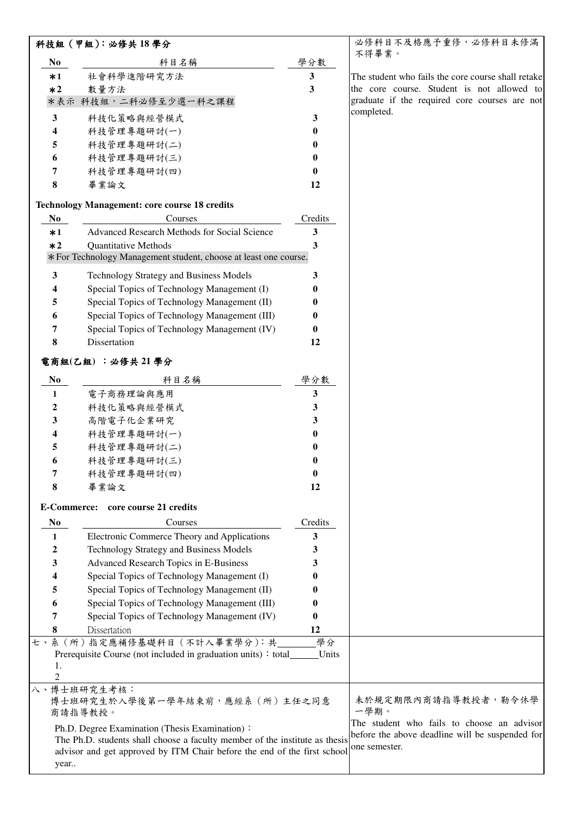|                      | 科技組 (甲組):必修共18學分                                                            |          | 必修科目不及格應予重修,必修科目未修滿                                |
|----------------------|-----------------------------------------------------------------------------|----------|----------------------------------------------------|
| N <sub>0</sub>       | 科目名稱                                                                        | 學分數      | 不得畢業。                                              |
| $*1$                 | 社會科學進階研究方法                                                                  | 3        | The student who fails the core course shall retake |
| $*2$                 | 數量方法                                                                        | 3        | the core course. Student is not allowed to         |
|                      | *表示 科技組,二科必修至少選一科之課程                                                        |          | graduate if the required core courses are not      |
| 3                    | 科技化策略與經營模式                                                                  | 3        | completed.                                         |
| 4                    | 科技管理專題研討(一)                                                                 | 0        |                                                    |
| 5                    | 科技管理專題研討(二)                                                                 | 0        |                                                    |
| 6                    | 科技管理專題研討(三)                                                                 | 0        |                                                    |
| 7                    | 科技管理專題研討(四)                                                                 | 0        |                                                    |
| 8                    | 畢業論文                                                                        | 12       |                                                    |
|                      | <b>Technology Management: core course 18 credits</b>                        |          |                                                    |
| N <sub>0</sub>       | Courses                                                                     | Credits  |                                                    |
| $*1$                 | Advanced Research Methods for Social Science                                | 3        |                                                    |
| $*2$                 | <b>Quantitative Methods</b>                                                 | 3        |                                                    |
|                      | *For Technology Management student, choose at least one course.             |          |                                                    |
| 3                    | Technology Strategy and Business Models                                     | 3        |                                                    |
| 4                    | Special Topics of Technology Management (I)                                 | 0        |                                                    |
| 5                    | Special Topics of Technology Management (II)                                | 0        |                                                    |
| 6                    | Special Topics of Technology Management (III)                               | 0        |                                                    |
| 7                    | Special Topics of Technology Management (IV)                                | $\bf{0}$ |                                                    |
| 8                    | Dissertation                                                                | 12       |                                                    |
|                      | 電商組(乙組) :必修共21學分                                                            |          |                                                    |
| No                   | 科目名稱                                                                        | 學分數      |                                                    |
| 1                    | 電子商務理論與應用                                                                   | 3        |                                                    |
| 2                    | 科技化策略與經營模式                                                                  | 3        |                                                    |
| 3                    | 高階電子化企業研究                                                                   | 3        |                                                    |
| 4                    | 科技管理專題研討(一)                                                                 | 0        |                                                    |
| 5                    | 科技管理專題研討(二)                                                                 | 0        |                                                    |
| 6                    | 科技管理專題研討(三)                                                                 | 0        |                                                    |
| 7                    | 科技管理專題研討(四)                                                                 | v        |                                                    |
| 8                    | 畢業論文                                                                        | 12       |                                                    |
|                      | E-Commerce: core course 21 credits                                          |          |                                                    |
| N <sub>0</sub>       | Courses                                                                     | Credits  |                                                    |
| 1                    | Electronic Commerce Theory and Applications                                 | 3        |                                                    |
| 2                    | Technology Strategy and Business Models                                     | 3        |                                                    |
| 3                    | Advanced Research Topics in E-Business                                      | 3        |                                                    |
| 4                    | Special Topics of Technology Management (I)                                 | 0        |                                                    |
| 5                    | Special Topics of Technology Management (II)                                | 0        |                                                    |
| 6                    | Special Topics of Technology Management (III)                               |          |                                                    |
| 7                    | Special Topics of Technology Management (IV)                                | 0        |                                                    |
| 8                    | Dissertation                                                                | 12       |                                                    |
| セ、                   | 系(所)指定應補修基礎科目(不計入畢業學分):共                                                    | 學分       |                                                    |
|                      | Prerequisite Course (not included in graduation units): total               | Units    |                                                    |
| 1.                   |                                                                             |          |                                                    |
| $\overline{c}$<br>八、 | 博士班研究生考核:                                                                   |          |                                                    |
|                      | 博士班研究生於入學後第一學年結束前,應經系(所)主任之同意                                               |          | 未於規定期限內商請指導教授者,勒令休學                                |
|                      | 商請指導教授。                                                                     |          | 一學期。                                               |
|                      | Ph.D. Degree Examination (Thesis Examination):                              |          | The student who fails to choose an advisor         |
|                      | The Ph.D. students shall choose a faculty member of the institute as thesis |          | before the above deadline will be suspended for    |
|                      | advisor and get approved by ITM Chair before the end of the first school    |          | one semester.                                      |
| year                 |                                                                             |          |                                                    |